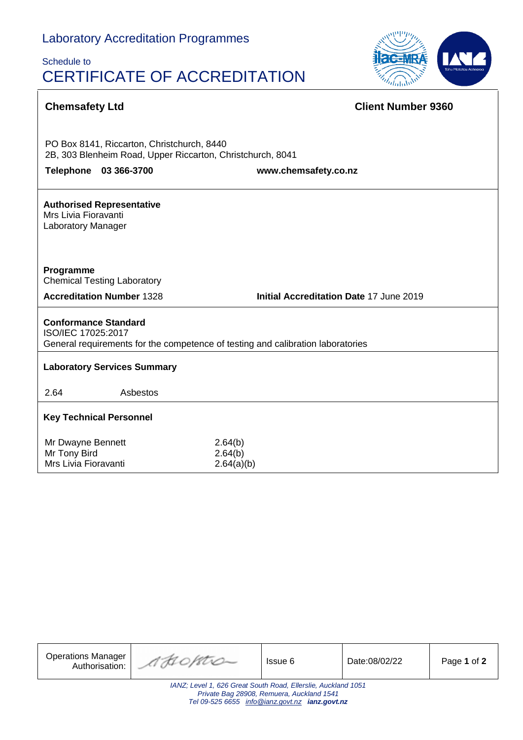# Schedule to CERTIFICATE OF ACCREDITATION



| <b>Chemsafety Ltd</b>                                                                                                                | <b>Client Number 9360</b>                      |  |  |
|--------------------------------------------------------------------------------------------------------------------------------------|------------------------------------------------|--|--|
|                                                                                                                                      |                                                |  |  |
| PO Box 8141, Riccarton, Christchurch, 8440<br>2B, 303 Blenheim Road, Upper Riccarton, Christchurch, 8041                             |                                                |  |  |
| 03 366-3700<br><b>Telephone</b>                                                                                                      | www.chemsafety.co.nz                           |  |  |
| <b>Authorised Representative</b><br>Mrs Livia Fioravanti<br>Laboratory Manager                                                       |                                                |  |  |
| Programme<br><b>Chemical Testing Laboratory</b>                                                                                      |                                                |  |  |
| <b>Accreditation Number 1328</b>                                                                                                     | <b>Initial Accreditation Date 17 June 2019</b> |  |  |
| <b>Conformance Standard</b><br>ISO/IEC 17025:2017<br>General requirements for the competence of testing and calibration laboratories |                                                |  |  |
| <b>Laboratory Services Summary</b>                                                                                                   |                                                |  |  |
| 2.64<br>Asbestos                                                                                                                     |                                                |  |  |
| <b>Key Technical Personnel</b>                                                                                                       |                                                |  |  |
| Mr Dwayne Bennett<br>Mr Tony Bird<br>Mrs Livia Fioravanti                                                                            | 2.64(b)<br>2.64(b)<br>2.64(a)(b)               |  |  |

| <b>Operations Manager</b><br>Authorisation:                                                                                                                  | AHOPTIO | Issue 6 | Date:08/02/22 | Page 1 of 2 |  |
|--------------------------------------------------------------------------------------------------------------------------------------------------------------|---------|---------|---------------|-------------|--|
| IANZ; Level 1, 626 Great South Road, Ellerslie, Auckland 1051<br>Private Bag 28908, Remuera, Auckland 1541<br>Tel 09-525 6655 info@ianz.govt.nz ianz.govt.nz |         |         |               |             |  |